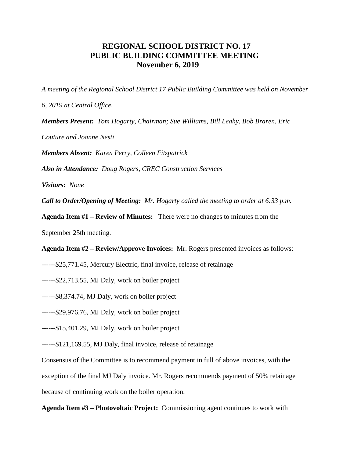## **REGIONAL SCHOOL DISTRICT NO. 17 PUBLIC BUILDING COMMITTEE MEETING November 6, 2019**

*A meeting of the Regional School District 17 Public Building Committee was held on November* 

*6, 2019 at Central Office.*

*Members Present: Tom Hogarty, Chairman; Sue Williams, Bill Leahy, Bob Braren, Eric* 

*Couture and Joanne Nesti*

*Members Absent: Karen Perry, Colleen Fitzpatrick*

*Also in Attendance: Doug Rogers, CREC Construction Services*

*Visitors: None*

*Call to Order/Opening of Meeting: Mr. Hogarty called the meeting to order at 6:33 p.m.* 

**Agenda Item #1 – Review of Minutes:** There were no changes to minutes from the

September 25th meeting.

**Agenda Item #2 – Review/Approve Invoices:** Mr. Rogers presented invoices as follows:

------\$25,771.45, Mercury Electric, final invoice, release of retainage

------\$22,713.55, MJ Daly, work on boiler project

------\$8,374.74, MJ Daly, work on boiler project

------\$29,976.76, MJ Daly, work on boiler project

------\$15,401.29, MJ Daly, work on boiler project

------\$121,169.55, MJ Daly, final invoice, release of retainage

Consensus of the Committee is to recommend payment in full of above invoices, with the

exception of the final MJ Daly invoice. Mr. Rogers recommends payment of 50% retainage

because of continuing work on the boiler operation.

**Agenda Item #3 – Photovoltaic Project:** Commissioning agent continues to work with